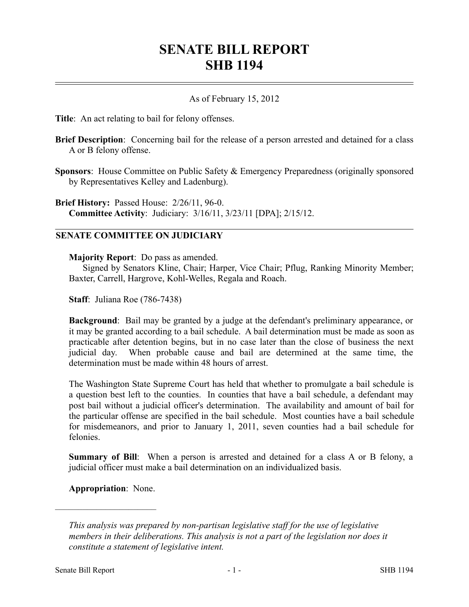## **SENATE BILL REPORT SHB 1194**

## As of February 15, 2012

**Title**: An act relating to bail for felony offenses.

- **Brief Description**: Concerning bail for the release of a person arrested and detained for a class A or B felony offense.
- **Sponsors**: House Committee on Public Safety & Emergency Preparedness (originally sponsored by Representatives Kelley and Ladenburg).

**Brief History:** Passed House: 2/26/11, 96-0. **Committee Activity**: Judiciary: 3/16/11, 3/23/11 [DPA]; 2/15/12.

## **SENATE COMMITTEE ON JUDICIARY**

**Majority Report**: Do pass as amended.

Signed by Senators Kline, Chair; Harper, Vice Chair; Pflug, Ranking Minority Member; Baxter, Carrell, Hargrove, Kohl-Welles, Regala and Roach.

**Staff**: Juliana Roe (786-7438)

**Background**: Bail may be granted by a judge at the defendant's preliminary appearance, or it may be granted according to a bail schedule. A bail determination must be made as soon as practicable after detention begins, but in no case later than the close of business the next judicial day. When probable cause and bail are determined at the same time, the determination must be made within 48 hours of arrest.

The Washington State Supreme Court has held that whether to promulgate a bail schedule is a question best left to the counties. In counties that have a bail schedule, a defendant may post bail without a judicial officer's determination. The availability and amount of bail for the particular offense are specified in the bail schedule. Most counties have a bail schedule for misdemeanors, and prior to January 1, 2011, seven counties had a bail schedule for felonies.

**Summary of Bill**: When a person is arrested and detained for a class A or B felony, a judicial officer must make a bail determination on an individualized basis.

**Appropriation**: None.

––––––––––––––––––––––

*This analysis was prepared by non-partisan legislative staff for the use of legislative members in their deliberations. This analysis is not a part of the legislation nor does it constitute a statement of legislative intent.*